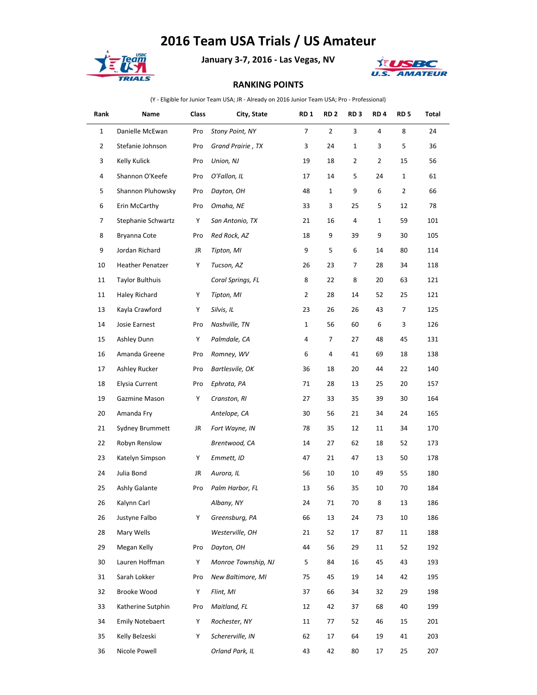## **2016 Team USA Trials / US Amateur**



**January 3-7, 2016 - Las Vegas, NV**



## **RANKING POINTS**

(Y - Eligible for Junior Team USA; JR - Already on 2016 Junior Team USA; Pro - Professional)

| Rank         | Name                    | Class | City, State         | <b>RD1</b>     | RD <sub>2</sub> | RD <sub>3</sub> | RD <sub>4</sub> | RD 5           | Total |
|--------------|-------------------------|-------|---------------------|----------------|-----------------|-----------------|-----------------|----------------|-------|
| $\mathbf{1}$ | Danielle McEwan         | Pro   | Stony Point, NY     | $\overline{7}$ | $\overline{2}$  | 3               | 4               | 8              | 24    |
| 2            | Stefanie Johnson        | Pro   | Grand Prairie, TX   | 3              | 24              | 1               | 3               | 5              | 36    |
| 3            | Kelly Kulick            | Pro   | Union, NJ           | 19             | 18              | $\overline{2}$  | 2               | 15             | 56    |
| 4            | Shannon O'Keefe         | Pro   | O'Fallon, IL        | 17             | 14              | 5               | 24              | $\mathbf{1}$   | 61    |
| 5            | Shannon Pluhowsky       | Pro   | Dayton, OH          | 48             | $\mathbf{1}$    | 9               | 6               | $\overline{2}$ | 66    |
| 6            | Erin McCarthy           | Pro   | Omaha, NE           | 33             | 3               | 25              | 5               | 12             | 78    |
| 7            | Stephanie Schwartz      | Y     | San Antonio, TX     | 21             | 16              | 4               | 1               | 59             | 101   |
| 8            | Bryanna Cote            | Pro   | Red Rock, AZ        | 18             | 9               | 39              | 9               | 30             | 105   |
| 9            | Jordan Richard          | JR    | Tipton, MI          | 9              | 5               | 6               | 14              | 80             | 114   |
| 10           | <b>Heather Penatzer</b> | Y     | Tucson, AZ          | 26             | 23              | 7               | 28              | 34             | 118   |
| 11           | <b>Taylor Bulthuis</b>  |       | Coral Springs, FL   | 8              | 22              | 8               | 20              | 63             | 121   |
| 11           | Haley Richard           | Y     | Tipton, MI          | 2              | 28              | 14              | 52              | 25             | 121   |
| 13           | Kayla Crawford          | Y     | Silvis, IL          | 23             | 26              | 26              | 43              | 7              | 125   |
| 14           | Josie Earnest           | Pro   | Nashville, TN       | $\mathbf{1}$   | 56              | 60              | 6               | 3              | 126   |
| 15           | Ashley Dunn             | Y     | Palmdale, CA        | 4              | 7               | 27              | 48              | 45             | 131   |
| 16           | Amanda Greene           | Pro   | Romney, WV          | 6              | 4               | 41              | 69              | 18             | 138   |
| 17           | Ashley Rucker           | Pro   | Bartlesvile, OK     | 36             | 18              | 20              | 44              | 22             | 140   |
| 18           | Elysia Current          | Pro   | Ephrata, PA         | 71             | 28              | 13              | 25              | 20             | 157   |
| 19           | Gazmine Mason           | Y     | Cranston, RI        | 27             | 33              | 35              | 39              | 30             | 164   |
| 20           | Amanda Fry              |       | Antelope, CA        | 30             | 56              | 21              | 34              | 24             | 165   |
| 21           | Sydney Brummett         | JR    | Fort Wayne, IN      | 78             | 35              | 12              | 11              | 34             | 170   |
| 22           | Robyn Renslow           |       | Brentwood, CA       | 14             | 27              | 62              | 18              | 52             | 173   |
| 23           | Katelyn Simpson         | Y     | Emmett, ID          | 47             | 21              | 47              | 13              | 50             | 178   |
| 24           | Julia Bond              | JR    | Aurora, IL          | 56             | 10              | 10              | 49              | 55             | 180   |
| 25           | Ashly Galante           | Pro   | Palm Harbor, FL     | 13             | 56              | 35              | 10              | 70             | 184   |
| 26           | Kalynn Carl             |       | Albany, NY          | 24             | 71              | 70              | 8               | 13             | 186   |
| 26           | Justyne Falbo           | Y     | Greensburg, PA      | 66             | 13              | 24              | 73              | 10             | 186   |
| 28           | Mary Wells              |       | Westerville, OH     | 21             | 52              | 17              | 87              | 11             | 188   |
| 29           | Megan Kelly             | Pro   | Dayton, OH          | 44             | 56              | 29              | 11              | 52             | 192   |
| 30           | Lauren Hoffman          | Y     | Monroe Township, NJ | 5              | 84              | 16              | 45              | 43             | 193   |
| 31           | Sarah Lokker            | Pro   | New Baltimore, MI   | 75             | 45              | 19              | 14              | 42             | 195   |
| 32           | Brooke Wood             | Y     | Flint, MI           | 37             | 66              | 34              | 32              | 29             | 198   |
| 33           | Katherine Sutphin       | Pro   | Maitland, FL        | 12             | 42              | 37              | 68              | 40             | 199   |
| 34           | <b>Emily Notebaert</b>  | Y     | Rochester, NY       | 11             | 77              | 52              | 46              | 15             | 201   |
| 35           | Kelly Belzeski          | Y     | Schererville, IN    | 62             | 17              | 64              | 19              | 41             | 203   |
| 36           | Nicole Powell           |       | Orland Park, IL     | 43             | 42              | 80              | 17              | 25             | 207   |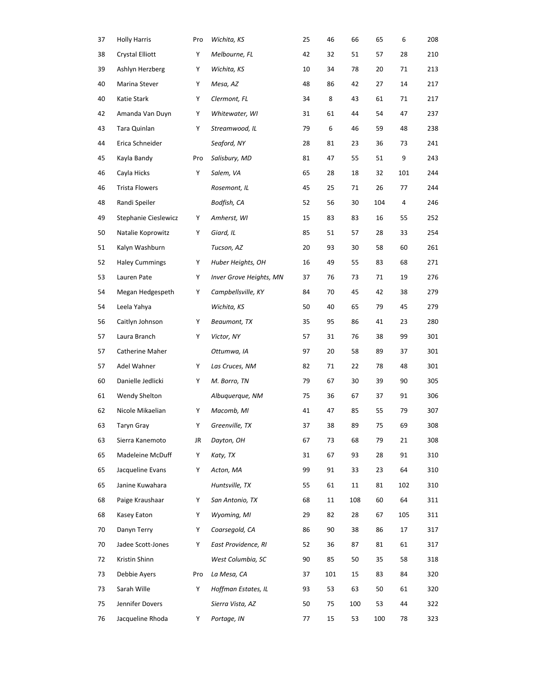| 37 | <b>Holly Harris</b>    | Pro | Wichita, KS             | 25 | 46  | 66  | 65  | 6   | 208 |
|----|------------------------|-----|-------------------------|----|-----|-----|-----|-----|-----|
| 38 | <b>Crystal Elliott</b> | Y   | Melbourne, FL           | 42 | 32  | 51  | 57  | 28  | 210 |
| 39 | Ashlyn Herzberg        | Y   | Wichita, KS             | 10 | 34  | 78  | 20  | 71  | 213 |
| 40 | Marina Stever          | Y   | Mesa, AZ                | 48 | 86  | 42  | 27  | 14  | 217 |
| 40 | Katie Stark            | Y   | Clermont, FL            | 34 | 8   | 43  | 61  | 71  | 217 |
| 42 | Amanda Van Duyn        | Y   | Whitewater, WI          | 31 | 61  | 44  | 54  | 47  | 237 |
| 43 | Tara Quinlan           | Y   | Streamwood, IL          | 79 | 6   | 46  | 59  | 48  | 238 |
| 44 | Erica Schneider        |     | Seaford, NY             | 28 | 81  | 23  | 36  | 73  | 241 |
| 45 | Kayla Bandy            | Pro | Salisbury, MD           | 81 | 47  | 55  | 51  | 9   | 243 |
| 46 | Cayla Hicks            | Y   | Salem, VA               | 65 | 28  | 18  | 32  | 101 | 244 |
| 46 | Trista Flowers         |     | Rosemont, IL            | 45 | 25  | 71  | 26  | 77  | 244 |
| 48 | Randi Speiler          |     | Bodfish, CA             | 52 | 56  | 30  | 104 | 4   | 246 |
| 49 | Stephanie Cieslewicz   | Y   | Amherst, WI             | 15 | 83  | 83  | 16  | 55  | 252 |
| 50 | Natalie Koprowitz      | Υ   | Giard, IL               | 85 | 51  | 57  | 28  | 33  | 254 |
| 51 | Kalyn Washburn         |     | Tucson, AZ              | 20 | 93  | 30  | 58  | 60  | 261 |
| 52 | <b>Haley Cummings</b>  | Y   | Huber Heights, OH       | 16 | 49  | 55  | 83  | 68  | 271 |
| 53 | Lauren Pate            | Y   | Inver Grove Heights, MN | 37 | 76  | 73  | 71  | 19  | 276 |
| 54 | Megan Hedgespeth       | Y   | Campbellsville, KY      | 84 | 70  | 45  | 42  | 38  | 279 |
| 54 | Leela Yahya            |     | Wichita, KS             | 50 | 40  | 65  | 79  | 45  | 279 |
| 56 | Caitlyn Johnson        | Υ   | Beaumont, TX            | 35 | 95  | 86  | 41  | 23  | 280 |
| 57 | Laura Branch           | Υ   | Victor, NY              | 57 | 31  | 76  | 38  | 99  | 301 |
| 57 | Catherine Maher        |     | Ottumwa, IA             | 97 | 20  | 58  | 89  | 37  | 301 |
| 57 | Adel Wahner            | Υ   | Las Cruces, NM          | 82 | 71  | 22  | 78  | 48  | 301 |
| 60 | Danielle Jedlicki      | Y   | M. Borro, TN            | 79 | 67  | 30  | 39  | 90  | 305 |
| 61 | Wendy Shelton          |     | Albuquerque, NM         | 75 | 36  | 67  | 37  | 91  | 306 |
| 62 | Nicole Mikaelian       | Υ   | Macomb, MI              | 41 | 47  | 85  | 55  | 79  | 307 |
| 63 | Taryn Gray             | Υ   | Greenville, TX          | 37 | 38  | 89  | 75  | 69  | 308 |
| 63 | Sierra Kanemoto        | JR  | Dayton, OH              | 67 | 73  | 68  | 79  | 21  | 308 |
| 65 | Madeleine McDuff       | Y   | Katy, TX                | 31 | 67  | 93  | 28  | 91  | 310 |
| 65 | Jacqueline Evans       | Y   | Acton, MA               | 99 | 91  | 33  | 23  | 64  | 310 |
| 65 | Janine Kuwahara        |     | Huntsville, TX          | 55 | 61  | 11  | 81  | 102 | 310 |
| 68 | Paige Kraushaar        | Y   | San Antonio, TX         | 68 | 11  | 108 | 60  | 64  | 311 |
| 68 | Kasey Eaton            | Y   | Wyoming, MI             | 29 | 82  | 28  | 67  | 105 | 311 |
| 70 | Danyn Terry            | Y   | Coarsegold, CA          | 86 | 90  | 38  | 86  | 17  | 317 |
| 70 | Jadee Scott-Jones      | Y   | East Providence, RI     | 52 | 36  | 87  | 81  | 61  | 317 |
| 72 | Kristin Shinn          |     | West Columbia, SC       | 90 | 85  | 50  | 35  | 58  | 318 |
| 73 | Debbie Ayers           | Pro | La Mesa, CA             | 37 | 101 | 15  | 83  | 84  | 320 |
| 73 | Sarah Wille            | Y   | Hoffman Estates, IL     | 93 | 53  | 63  | 50  | 61  | 320 |
| 75 | Jennifer Dovers        |     | Sierra Vista, AZ        | 50 | 75  | 100 | 53  | 44  | 322 |
| 76 | Jacqueline Rhoda       | Y   | Portage, IN             | 77 | 15  | 53  | 100 | 78  | 323 |